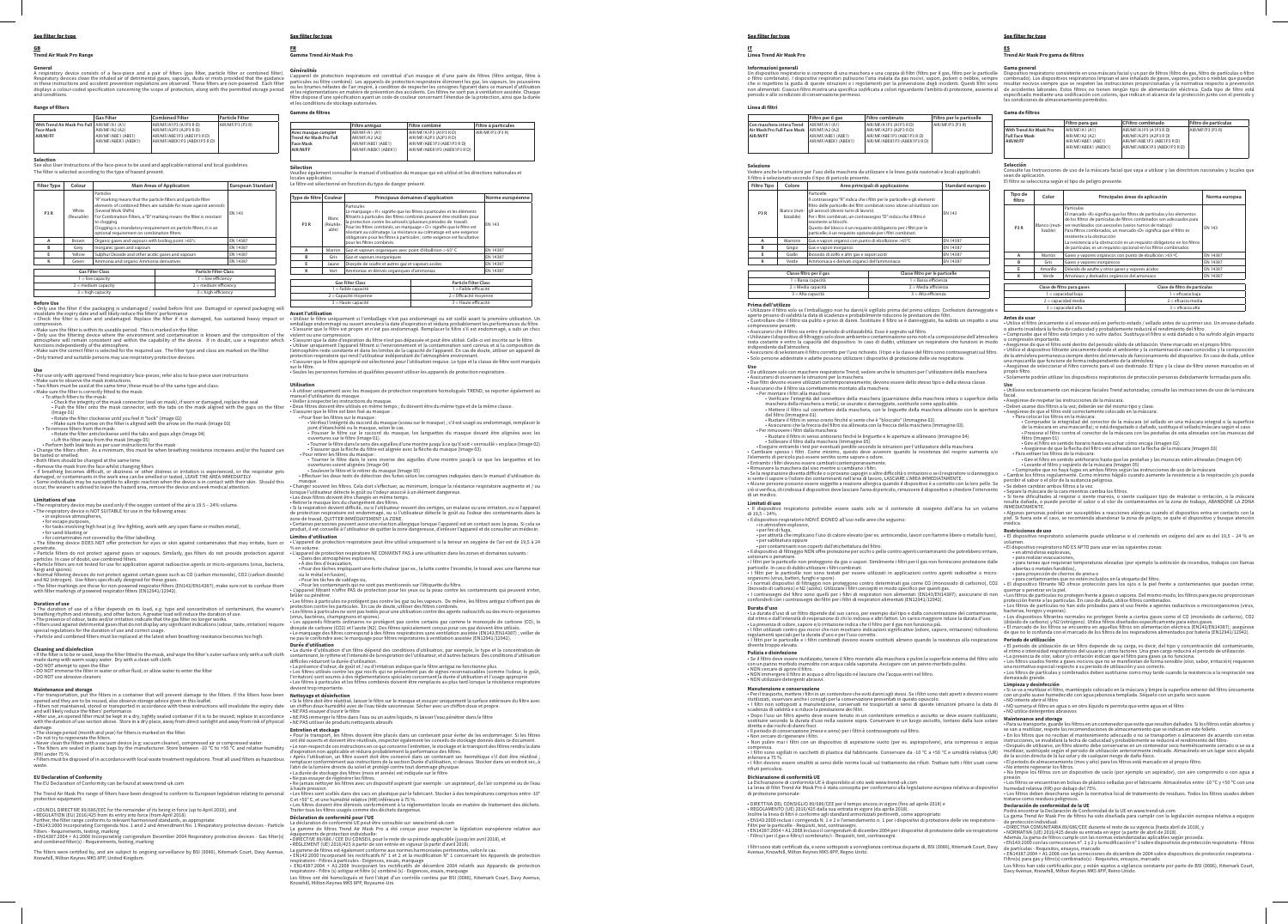### See filter for type

# GB **Trend Air Mask Pro Range**

**General**<br>A respiratory device consists of a face-piece and a pair of filters (gas filter, particle filter or combined filter).<br>Respiratory devices clean the inhaled air of detrimental gases, vapours, dusts or mists provid

**Filter Type Colour Main Areas of Application European Standard P3 R** White (Reusable) Particles "R" marking means that the particle filters and particle filter elements of combined filters are suitable for reuse against aerosols (Several Work Shifts) For Combination Filters, a "D" marking means the filter is resistant to clogging Clogging is a mandatory rerquirement on particle filters; it is an optional requirement on combination filters. EN 143 **A** Brown Organic gases and vapours with boiling point >65°c EN 14387<br> **B** Grey Inorganic gases and vapours EN 14387 **EXAMPLE SULPHUR Dioxide and other acidic gases and vapours<br>
<b>EXAMPLE SULPHUR SULPHUR SULPHUR SULPHUR SULPHUR SULPHUR SULPHUR SULPHUR SULPHUR SULPHUR SULPHUR SULPHUR SULPHUR SULPHUR SULPHUR SULPHUR SULPHUR SULPHUR SULPHUR K** Green Ammonia and organic Ammonia derivatives **Gas Filter Class Particle Filter Class** 1 = low capacity 1 = low efficiency

3 = high capacity 3 = high efficiency **Before Use**<br>• Only use the filter if the packaging is undamaged / sealed before first use. Damaged or opened packaging will<br>invalidate the expiry date and will likely reduce the filters' performance<br>• Check the filter is

### **Range of filters**

|                                               | <b>Gas Filter</b>    | <b>Combined Filter</b>       | <b>Particle Filter</b> |
|-----------------------------------------------|----------------------|------------------------------|------------------------|
| With Trend Air Mask Pro Full   AIR/MF/A1 (A1) |                      | AIR/MF/A1P3 (A1P3 RD)        | AIR/MF/P3 (P3 R)       |
| <b>Face Mask</b>                              | AIR/MF/A2 (A2)       | AIR/MF/A2P3 (A2P3 R D)       |                        |
| AIR/M/FF                                      | AIR/MF/ABE1 (ABE1)   | AIR/MF/ABE1P3 (ABE1P3 RD)    |                        |
|                                               | AIR/MF/ABEK1 (ABEK1) | AIR/MF/ABEK1P3 (ABEK1P3 R D) |                        |
|                                               |                      |                              |                        |

**Selection**<br>See also User Instructions of the face-piece to be used and applicable national and local guidelines.<br>The filter is selected according to the type of hazard present.

For use only with approved Tend respiratory face-pieces; refer also to face-piece user instructions<br>
- Make sure to observe the mask instructions.<br>
- Two filters must be used at the same time; these must be of the same typ (Image 01) • Rotate the filter clockwise until you feel it "lock" (Image 02) • Make sure the arrow on the filter is aligned with the arrow on the mask (Image 03)

• To remove filters from the mask:<br>• Rotate the filter anticlockwise until the tabs and gaps align (Image 04)<br>• Lift the filter away from the mask (Image 05)<br>• Perform both leak tests as per user instructions for the mask

be tasted or smelled.<br>• Both filters should be changed at the same time.<br>• Remove the mask from the face whilst changing filters<br>• If breathing becomes officieut, or dizziness or other distress or irritation is experienced

**Limitations of use**<br>• The respiratory device may be used only if the oxygen content of the air is 19.5 – 24% volume.<br>• The respiratory device is NOT SUITABLE for use in the following areas:<br>· in explosive atmospheres,

2 = medium capacity 2 = medium efficiency

compression.<br>• Make sure the filter is within its useable period. This is marked on the filter.<br>• Only use the filtering device where the environment and contamination is known and the composition of the<br>atmosphere will re

functions independently of the atmosphere. • Make sure the correct filter is selected for the required use. The filter type and class are marked on the filter. • Only trained and suitable persons may use respiratory protective devices.

**Use**

• for escape purposes, • for tasks involving high heat (e.g. fire-fighting, work with any open flame or molten metal), • for sand-blasting or

• for contaminates not covered by the filter labelling. • The filtering device DOES NOT offer protection for eyes or skin against contaminates that may irritate, burn or

penetrate.<br>• Particle filters do not protect against gases or vapours. Similarly, gas filters do not provide protection against<br>particles. In case of doubt, use combined filters.

**Sélection** t consulter le manuel d'utilisation du masque qui est utilisé et les directives natio

• Particle filters are not tested for use for application against radioactive agents or micro-organisms (virus, bacteria,

fungi and spores).<br>• Normal filtering devices do not protect against certain gases such as CO (carbon monoxide), CO2 (carbon dioxide)<br>and N2 (nitrogen). Use filters specifically designed for these gases.<br>• The filter marki

**Duration of use**<br> **The duration of use of a filter depends on its load, e.g. type and concentration of contaminant, the wearer's<br>
breakthing rhythm and intensity, and other factors. A greater load will reduce the duration** 

**Cleaning and disinfection** • If the filter is to be re-used, keep the filter fitted to the mask, and wipe the filter's outer surface only with a soft cloth

made damp with warm soapy water. Dry with a clean soft cloth.<br>• DO NOT attempt to open the filter<br>• DO NOT immerse the filter in water or other fluid, or allow water to enter the filter<br>• DO NOT use abrasive cleaners

**Maintenance and storage**<br>**Maintenance and storage**<br>**For transportation, put the filters in a container that will prevent damage to the filters. If the filters have been<br>opened and they are to be reused, also observe stora** 

masque. • Changer souvent les filtres. Cela doit s'effectuer, au minimum, lorsque la résistance respiratoire augmente et / ou lorsque l'utilisateur détecte le goût ou l'odeur associé à un élément dangereux. • La deux filtres doivent les milles deux fortes deux filtres doivent être changés en même temps.<br>• Les deux filtres doivent être changés en même temps.

- Retirer le masque lors du changement des filtres.<br>« Si la respiration devient difficile, ou si l'utilisateur ressent des vertiges, un malaise ou une irritation, ou si l'appareil<br>de protection respiratoire est endommagé,

L**imites d'utilisation**<br>◆ L'appareil de protection respiratoire peut être utilisé uniquement si la teneur en oxygène de l'air est de 19,5 à 24<br>% en volume.<br>• L'appareil de protection respiratoire NE CONVIENT PAS à une uti

- Dans des atmosphères explosives,<br>- À des fins d'évacuation,<br>- Pour des tâches impliquant une forte chaleur (par ex., la lutte contre l'incendie, le travail avec une flamme nue<br>ou le métal en fusion),<br>- Pour les cotaminan

brûler ou pénétrer.<br>• Les filtres à particules ne protègent pas contre les gaz ou les vapeurs. De même, les filtres antigaz n'offrent pas de<br>protection contre les particules. En cas de doute, utiliser des filtres combinés.

(virus, bactéries, champignons et spores).<br>• Les appareils filtrants ordinaires ne protègent pas contre certains gaz comme le monoxyde de carbone (CO), le<br>• Le marquage des filtres correspond à des filtres spécialement con

**Durée d'utilisation**<br> **curie d'utilisation** d'un filtre dépend des conditions d'utilisation, par exemple, le type et la concentration de<br>
contaminant, le rythme et l'intensité de la respiration de l'utilisateur, et d'autr

devient trop importante.<br>Nettoyage et désinfection<br>• Si le filtre doit être réutilisé, laisser le filtre sur le masque et essuyer uniquement la surface extérieure du filtre avec<br>• C le filtre doit être réutilisé, laisser l

**Entretien et stockage**<br>• Pour le transport, les filtres doivent être placés dans un contenant pour éviter de les endommager. Si les filtres<br>ont été ouverts et doivent être réutilisés, respecter également les conseils de s - Le non-respect de ces instructions en ce qui concerne l'entretien, le stockage et le transport des filtres rendra la date<br>- Après l'utilisation, un filtre ouvert doit être conservé dans un contenant sec hermétique s'il d

l'abri de la lumière directe du soleil et protégé contre tout dommage physique.<br>• La durée de stockage des filtres (mois et année) est indiquée sur le filtre.<br>• Ne jamais nettoyer les filtres avec un dispositif aspirant (p à haute pression.<br>• Les filtres sont scellés dans des sacs en plastique par le fabricant. Stocker à des températures comprises entre -10°<br>C et +50° C, et une humidité relative (HR) inférieure à 75 %.<br>• Les filtres doivent

damage. • The storage period (month and year) for filters is marked on the filter. • Do not try to regenerate the filters.

• Never clean the filters with a vacuum device (e.g: vacuum cleaner), compressed air or compressed water. • The filters are sealed in plastic bags by the manufacturer. Store between -10 °C to +50 °C and relative humidity (RH) under 75 %. • Filters must be disposed of in accordance with local waste treatment regulations. Treat all used filters as hazardous

waste.

**EU Declaration of Conformity** The EU Declaration of Conformity can be found at www.trend-uk.com

The Trend Air Mask Pro range of filters have been designed to conform to European legislation relating to personal protective equipment:

• COUNCIL DIRECTIVE 89/686/EEC for the remainder of its being in force (up to April 2018), and

- REGULATION (EU) 2016/425 from its entry into force (from April 2018).<br>Further, the filter range conforms to relevant harmonised standards, as appropriate:<br>- EN143:2000 Incorporating Corrigenda Nos. 1 and 2 and Amendment

The filters were certified by, and are subject to ongoing surveillance by BSI (0086), Kitemark Court, Davy Avenue,<br>Knowhill, Milton Keynes MK5 8PP, United Kingdom.

### See filter for type

# FR **Gamme Trend Air Mask Pro**

**Généralités**<br>Capareil de protection respiratoire est constitué d'un masque et d'une paire de filtres (filtre antigaz, filtre à<br>particules ou filtre combiné). Les appareils de protection respiratoire éliminent les gaz, les

**Gamme de filtres**

|                         | <b>Filtre antigaz</b> | Filtre combiné               | Filtre à particules |
|-------------------------|-----------------------|------------------------------|---------------------|
| Avec masque complet     | AIR/MF/A1 (A1)        | AIR/MF/A1P3 (A1P3 RD)        | AIR/MF/P3 (P3 R)    |
| Trend Air Mask Pro Full | AIR/MF/A2 (A2)        | AIR/MF/A2P3 (A2P3 R D)       |                     |
| <b>Face Mask</b>        | AIR/MF/ABE1 (ABE1)    | AIR/MF/ABE1P3 (ABE1P3 R D)   |                     |
| AIR/M/FF                | AIR/MF/ABEK1 (ABEK1)  | AIR/MF/ABEK1P3 (ABEK1P3 R D) |                     |
|                         |                       |                              |                     |
|                         |                       |                              |                     |

locales applicables. Le filtre est sélectionné en fonction du type de danger présent.

**Filtro per il gas Filtro combinato Filtro per le particelle** AIR/MF/A1P3 (A1P3 R D) AIR/MF/P3 (P3 R) **Selezione**<br>Vedere anche le istruzioni per l'uso della maschera da utilizzare e le linee guida nazionali e locali applicabili. **Filtro Tipo Colore Colore Aree principali di applicazione Standard europec** 

**P3 R** Bianco (riutilizzabile)

| Type de filtre Couleur                                  |                              | Principaux domaines d'application                                                                                                                                                                                                                                                                                                                                                                                                                                                                            |                        | Norme européenne |  |
|---------------------------------------------------------|------------------------------|--------------------------------------------------------------------------------------------------------------------------------------------------------------------------------------------------------------------------------------------------------------------------------------------------------------------------------------------------------------------------------------------------------------------------------------------------------------------------------------------------------------|------------------------|------------------|--|
| P3R                                                     | Blanc<br>(Réutilis-<br>able) | <b>Particules</b><br>Le marquage « R » signifie que les filtres à particules et les éléments<br>filtrants à particules des filtres combinés peuvent être réutilisés pour<br>la protection contre les aérosols (plusieurs périodes de travail).<br>Pour les filtres combinés, un marquage « D » signifie que le filtre est<br>résistant au colmatage. La résistance au colmatage est une exigence<br>obligatoire pour les filtres à particules ; cette exigence est facultative<br>pour les filtres combinés. | <b>FN 143</b>          |                  |  |
| A                                                       | Marron                       | Gaz et vapeurs organiques avec point d'ébullition > 65° C                                                                                                                                                                                                                                                                                                                                                                                                                                                    |                        | EN 14387         |  |
| B                                                       | Gris                         | Gaz et vapeurs inorganiques                                                                                                                                                                                                                                                                                                                                                                                                                                                                                  |                        | EN 14387         |  |
| E                                                       | Jaune                        | Dioxyde de soufre et autres gaz et vapeurs acides                                                                                                                                                                                                                                                                                                                                                                                                                                                            |                        | EN 14387         |  |
| к                                                       | Vert                         | Ammoniac et dérivés organiques d'ammoniac                                                                                                                                                                                                                                                                                                                                                                                                                                                                    |                        | EN 14387         |  |
|                                                         |                              |                                                                                                                                                                                                                                                                                                                                                                                                                                                                                                              |                        |                  |  |
| <b>Gas Filter Class</b><br><b>Particle Filter Class</b> |                              |                                                                                                                                                                                                                                                                                                                                                                                                                                                                                                              |                        |                  |  |
| 1 = Faible capacité                                     |                              |                                                                                                                                                                                                                                                                                                                                                                                                                                                                                                              | 1 = Faible efficacité  |                  |  |
| 2 = Capacité moyenne                                    |                              |                                                                                                                                                                                                                                                                                                                                                                                                                                                                                                              | 2 = Efficacité moyenne |                  |  |
| 3 = Haute capacité                                      |                              |                                                                                                                                                                                                                                                                                                                                                                                                                                                                                                              | 3 = Haute efficacité   |                  |  |

**Avant l'utilisation**<br>e **utiliser le filtre un**iquement si l'emballage n'est pas endommagé ou est scellé avant la première utilisation. Un<br>emballage endommagé ou ouvert annulera la date d'expiration et réduira probablement

violent ou une compression.<br>• S'assurer que la date d'expiration du filtre n'est pas dépassée et peut être utilisé. Celle-ci est inscrite sur le filtre.<br>• Utiliser uniquement l'appareil filtrant si l'environnement et la co

maschera della maschera a metà); se usurate o danneggiate, sostituirle come applicabile. • Mettere il filtro sul connettore della maschera, con le linguette della maschera allineate con le aperture del filtro (immagine 01).<br>Ruotare il filtro in senso orario finché si sente che è "bloccato" (immagine 02).<br>• Assicurarsi che la freccia del filtro sia allineata con la freccia della maschera (immagine 03).<br>• Per rimuovere

• Eseguire entrambi i test per eventuali perdite secondo le istruzioni per l'utilizzatore della maschera.<br>• Cambiare spesso i filtri. Come minimo, questo deve avvenire quando la resistenza del respiro aumenta e/o<br>l'element

• Entrambi i filtri devono essere cambiati contemporaneamente.<br>• Stan respirazione diventa difficile o si provano capogiri o altre difficoltà o irritazioni o se il respiratore si danneggia o<br>• Se la respirazione divedore d • Alcune persone possono essere soggette a reazione allergica quando il dispositivo è a contatto con la loro pelle. Se<br>ciò si verifica, chi indossa il dispositivo deve lasciare l'area di pericolo, rimuovere il dispositivo

**Limitati di uso**<br>• Il dispositivo respiratorio potrebbe essere usato solo se il contenuto di ossigeno dell'aria ha un volume<br>• Il dispositivo respiratorio NON È IDONEO all'uso nelle aree che seguono:

sur le filtre. • Seules les personnes formées et qualifiées peuvent utiliser les appareils de protection respiratoire.

**Utilisation**<br>• À utiliser uniquement avec les masques de protection respiratoire homologués TREND; se reporter également au<br>manuel d'utilisation du masque.

• Veiller à respecter les instructions du masque.<br>• Deux filtres doivent être utilisés en même temps ; ils doivent être du même type et de la même classe.<br>• S'assurer que le filtres sur le masque :<br>• Pour fixer les filtres

• Vérifiez l'intégrité du raccord du masque (sceau sur le masque) ; s'il est usagé ou endommagé, remplacer le joint d'étanchéité ou le masque, selon le cas. • Pousser le filtre sur le raccord du masque, les languettes du masque devant être alignées avec les

ouvertures sur le filtre (Image 01).<br>• Tourner le filtre dans le sens des aiguilles d'une montre jusqu'à ce qu'il soit « verrouillé » en place (Image 02)<br>• S'assurer que la flèche du filtre est alignée avec la flèche du m

• Pour retirer les filtres du masque : • Tourner le filtre dans le sens inverse des aiguilles d'une montre jusqu'à ce que les languettes et les

ouvertures soient alignées (Image 04)<br>• Soulever le filtre et le retirer du masque (Image 05)<br>• Effectuer les deux tests de détection des fuites selon les consignes indiquées dans le manuel d'utilisation du

**Selección**<br>Consulte las Instrucciones de uso de la máscara facial que vaya a utilizar y las directrices nacionales y locales que sean de aplicación. El filtro se selecciona según el tipo de peligro presente.

**Déclaration de conformité pour l'UE**

La déclaration de conformité UE peut être consultée sur www.trend-uk.com La gamme de filtres Trend Air Mask Pro a été conçue pour respecter la législation européenne relative aux

équipements de protection individuelle.<br>• DiRECTIVE 89/686 / CEE DU CONSEIL pour le reste de sa période applicable (jusqu'en avril 2018), et<br>• RÉGLEMENT (UE) 2016/425 à partir de son entrée en vigueur (à partir d'avril 201

See filter for type IT **Linea Trend Air Mask Pro**

**Linea di filtri**

**Con maschera intera Trend Air Mask Pro Full Face Mask**

**AIR/M/FF**

AIR/MF/A1 (A1) AIR/MF/A2 (A2) AIR/MF/ABE1 (ABE1) AIR/MF/ABEK1 (ABEK1)

AIR/MF/A2P3 (A2P3 R D) AIR/MF/ABE1P3 (ABE1P3 R D) AIR/MF/ABEK1P3 (ABEK1P3 R D)

Il filtro è selezionato secondo il tipo di pericolo presente.

**B** Grigio Gas e vapori inorganic

gli aerosol (diversi turni di lavoro).

Per i filtri combinati, un contrassegno "D" indica che il filtro è resistente ai blocchi. Questo del blocco è un requisito obbligatorio per i filtri per le particelle; è un requisito opzionale per i filtri combinati.

 $3 =$  Alta capacità  $3 =$  Alta efficienza  $3 =$  Alta efficienza  $3 =$  Alta efficienza  $3 =$  Alta efficienza  $3 =$  Alta efficienza  $3 =$  Alta efficienza  $3 =$  Alta efficienza  $3 =$  Alta efficienza  $3 =$  Alta efficienza  $3 =$  Alta eff

ssione pesanti.<br>rarsi che il filtro sia entro il periodo di utilizzabilità. Esso è segnato sul filtro.

• NON cercare di aprire il filtro.<br>• NON immergere il filtro in acqua o altro liquido né lasciare che l'acqua entri nel filtro.<br>• NON utilizzare detergenti abrasivi.



**Prima dell'utilizzo**<br>• **Utilizzare il filtro solo se l'imballaggio non ha danni/è sigillato prima del primo utilizzo. Confezioni danneggiate e<br>• perte privano di validità la data di scadenza e probabilmente riducono le pr** 

• Utilizzare il dispositivo di filtraggio solo dove ambiente e contaminazione sono noti e la composizione dell'atmosfera<br>resta costante e entro la capacità del dispositivo. In caso di dubbi, utilizzare un respiratore che f

indipendente dall'atmosfera.<br>• Assicurarsi di selezionare il filtro corretto per l'uso richiesto. Il tipo e la classe del filtro sono contrassegnati sul filtro.<br>• Solo persone addestrate e adatte possono utilizzare i dispo

**Uso** • Da utilizzare solo con maschere respiratorie Trend; vedere anche le istruzioni per l'utilizzatore della maschera

- Assicurarsi di osservare le istruzioni per la maschera.<br>- Due filtri devono essere utilizzati contemporaneamente; devono essere dello stesso tipo e della stessa classe<br>- Assicurarsi che il filtro sia correttamente montat

• in atmosfere esplosive, • per fini di fuga, • per attività che implicano l'uso di calore elevato (per es. antincendio, lavori con fiamme libere o metallo fuso),

• per sabbiatura oppure<br>
• per contaminanti ono coperti dall'etichettatura del filtro.<br>
• Il dispositivo di filtraggio NON offre protezione per occhi o pelle contro agenti contaminanti che potrebbero irritare,<br>
• I filtri

**Durata d'uso**<br> **chara d'uso d**i un filtro dipende dal suo carico, per esempio dal tipo e dalla concentrazione del contaminante,<br>
dal ritmo e dall'intensità di respirazione di chi lo indossa e altri fattori. Un carico magg

diventa u oppo etevoto.<br>**Pulizia e disinfezione**<br>• Se il filtro deve essere riutilizzato, tenere il filtro montato alla maschera e pulire la superficie esterna del filtro solo<br>• הי יום מפחמת morbido inumidito con acqua ca

**Manutenzione e conservazione**<br> **Manutenzione e conservazione**<br> **Manutenzione e conservazione e profitalization**<br> **Per il trasporto, mettere i filtri in un contenitore che eviti danni agli stessi. Se i filtri sono stati a** 

**Dichiarazione di conformità UE**

La Dichiarazione di conformità UE è disponibile al sito web www.trend-uk.com La linea di filtri Trend Air Mask Pro è stata concepita per conformarsi alla legislazione europea relativa ai dispositivi di protezione personale:

- DIRETTIVA DEL CONSIGLIO 89/686/CEE per il tempo ancora in vigore (fino ad aprile 2018) e<br>- DRETTIVA DEL CONSIGLIO 89/686/CEE per il tempo ancora in vigore (fino ad aprile 2018).<br>Inoltre la linea di filtri è conforme agli

I filtri sono stati certificati da, e sono sottoposti a sorveglianza continua da parte di, BSI (0086), Kitemark Court, Davy Avenue, Knowhill, Milton Keynes MK5 8PP, Regno Unito.

Dispositivo respiratorio consistente en una máscara facial y un par de filtros (filtro de gas, filtro de partículas o filtro<br>combinado). Los dispositivos respiratorios limpian el aire inhalado de gases, vapores, polvos o n especificado inediante d<br>Tas condiciones de almac

### Gama de filtro

### See filter for type

# ES **Trend Air Mask Pro gama de filtros**

# **Gama general**

**Informazioni generali**<br>On dispositivo respiratorio si compone di una maschera e una coppia di filtri (filtro per il gas, filtro per le particelle<br>o filtro combinato). I dispositivi respiratori puliscono l'aria inalata da

|                         | Filtro para gas      | <b>CFiltro combinado</b>     | Filtro de partículas |
|-------------------------|----------------------|------------------------------|----------------------|
| With Trend Air Mask Pro | AIR/MF/A1 (A1)       | AIR/MF/A1P3 (A1P3 RD)        | AIR/MF/P3 (P3 R)     |
| <b>Full Face Mask</b>   | AIR/MF/A2 (A2)       | AIR/MF/A2P3 (A2P3 RD)        |                      |
| AIR/M/FF                | AIR/MF/ABE1 (ABE1)   | AIR/MF/ABE1P3 (ABE1P3 R D)   |                      |
|                         | AIR/MF/ABEK1 (ABEK1) | AIR/MF/ABEK1P3 (ABEK1P3 R D) |                      |
|                         |                      |                              |                      |

| Tipo de<br>filtro     | Color                         | Principales áreas de aplicación                                                                                                                                                                                                                                                                                                                                                                                                                                                     |                     | Norma europea |
|-----------------------|-------------------------------|-------------------------------------------------------------------------------------------------------------------------------------------------------------------------------------------------------------------------------------------------------------------------------------------------------------------------------------------------------------------------------------------------------------------------------------------------------------------------------------|---------------------|---------------|
| P <sub>3</sub> R      | Blanco (reuti-<br>lizable)    | Partículas<br>El marcado «R» significa que los filtros de partículas y los elementos<br>de los filtros de partículas de filtros combinados son adecuados para<br>ser reutilizados con aerosoles (varios turnos de trabajo)<br>Para filtros combinados, un marcado «D» significa que el filtro es<br>resistente a la obstrucción<br>La resistencia a la obstrucción es un requisito obligatorio en los filtros<br>de partículas; es un requisito opcional en los filtros combinados. |                     | <b>FN 143</b> |
| A                     | Marrón                        | Gases y vapores orgánicos con punto de ebullición >65 °C                                                                                                                                                                                                                                                                                                                                                                                                                            |                     | EN 14387      |
| R                     | Gris                          | Gases y vapores inorgánicos                                                                                                                                                                                                                                                                                                                                                                                                                                                         |                     | EN 14387      |
| E                     | Amarillo                      | Dióxido de azufre y otros gases y vapores ácidos                                                                                                                                                                                                                                                                                                                                                                                                                                    |                     | FN 14387      |
| к                     | Verde                         | Amoniaco y derivados orgánicos del amoniaco                                                                                                                                                                                                                                                                                                                                                                                                                                         |                     | EN 14387      |
|                       | Clase de filtro de partículas |                                                                                                                                                                                                                                                                                                                                                                                                                                                                                     |                     |               |
| $1 =$ capacidad baja  |                               | 1 = eficacia baia                                                                                                                                                                                                                                                                                                                                                                                                                                                                   |                     |               |
| $2 =$ capacidad media |                               | $2 =$ eficacia media                                                                                                                                                                                                                                                                                                                                                                                                                                                                |                     |               |
| $3 =$ capacidad alta  |                               |                                                                                                                                                                                                                                                                                                                                                                                                                                                                                     | $3 =$ eficacia alta |               |

**Antes de usar**<br>• Utilice el filtro únicamente si el envase está en perfecto estado / sellado antes de su primer uso. Un envase dañado<br>o abierto invalidará la fecha de caducidad y probablemente reducirá el rendimiento del to invalidara la fecha de caducidad y probablemente reducira el rendimiento del filtro.<br>ruebe que el filtro está limpio y no sufre daños. Sustituya el filtro si está dañado o ha sufrido algún impacto

o compresión importante.<br>• Ategúrese de que el filtro esté dentro del periodo válido de utilización. Viene marcado en el propio filtro.<br>• Utilice el dispositivo filtrante únicamente donde el ambiente y la contaminación sen

**Uso**

• Utilícese exclusivamente con máscaras faciales Trend autorizadas; consulte las instrucciones de uso de la máscara

facial.<br>
Acegúrese de respetar las instrucciones de la máscara.<br>
• Deben usares dos filtros esté correctamente colocado en la máscara:<br>
• Person usares de que el filtro esté correctamente colocado en la máscara:<br>
• Person

• Gire el filtro en sentido antihorario hasta que las pestañas y las muescas estén alineadas (Imagen 04)<br>• Levante el filtro y sepárelo de la máscara (Imagen 05)<br>• Compruebe que no haya fugas en ambos filtros según las in

• Si tiene dificultades al respirar o siente mareos, o siente cualquier tipo de malestar o irritación, o la máscara<br>resulta dañada, o puede percibir el sabor o el olor de contaminantes en la zona de trabajo, ABANDONE LA ZO INMEDIATAMENTE.<br>• Algunas personas podrían ser susceptibles a reacciones alérgicas cuando el dispositivo entra en contacto con la<br>piel. Si fuera este el caso, se recomienda abandonar la zona de peligro, se quite el disposi

- 
- 
- 

**Restrictiones de uso**<br> **El dispositivo respiratorio Solamente puede utilizarse si el contenido en oxígeno del aire es del 19,5 – 24 % en<br>
volumen.<br>
• El dispositivo respiratorio NO ES APTO para usar en las siguientes zona** 

• Los filtros usados frente a gases nocivos que no se manifiestan de forma sensible (olor, sabor, irritación) requieren<br>una normativa especial respecto a su periodo de utilización y uso correcto.<br>• Los filtros de partícula

demasiado grande.<br>
1. Limpieza y desinfección<br>
1. Limpieza y desinfección<br>
1. Si e va a reutilizar el filtro, manténgalo colocado en la máscara y limpie la superficie exterior del filtro únicamente<br>
1. NO interte abric el

• Los filtros se encuentran en bolsas de plástico selladas por el fabricante. Almacénelos entre −10 °C y +50 °C con una<br>humedad relativa (HR) por debajo del 75%.<br>• Los filtros deben desecharse según la normativa local de

### **Declaración de conformidad de la UE**

Podrá encontrar la Declaración de Conformidad de la UE en www.trend-uk.com La gama Trend Air Mask Pro de filtros ha sido diseñada para cumplir con la legislación europea relativa a equipos

de protección individual:<br>• DIRECTIVA COMUNITARIA 89/686/CEE durante el resto de su vigencia (hasta abril de 2018), y<br>• NORMATIVA (UE) 2016/425 desde su entrada en vigor (a partir de abril de 2018).<br>• Además, la gama de fi

Los filtros han sido certificados por, y están sujetos a vigilancia constante por parte de BSI (0086), Kitemark Court, Davy Avenue, Knowhill, Milton Keynes MK5 8PP, Reino Unido.